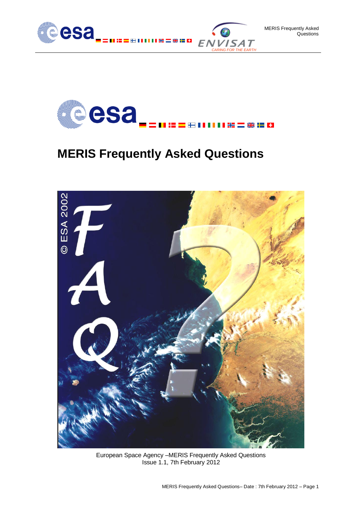



### **MERIS Frequently Asked Questions**



European Space Agency –MERIS Frequently Asked Questions Issue 1.1, 7th February 2012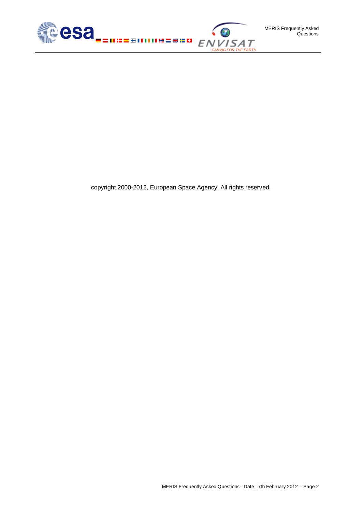

copyright 2000-2012, European Space Agency, All rights reserved.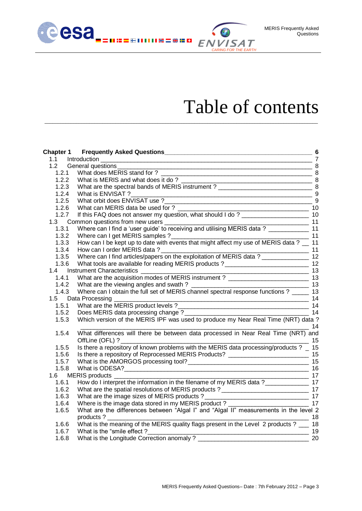

# Table of contents

*CARING FOR THE EARTH*

| 1.1   |                                                                                                                                             |    |
|-------|---------------------------------------------------------------------------------------------------------------------------------------------|----|
|       | 1.2 General questions<br>$\sim$ 8                                                                                                           |    |
| 1.2.1 |                                                                                                                                             |    |
| 1.2.2 | What is MERIS and what does it do?<br>What is MERIS and what does it do?<br>What are the spectral bands of MERIS instrument?<br>8           |    |
| 1.2.3 |                                                                                                                                             |    |
| 1.2.4 |                                                                                                                                             |    |
| 1.2.5 |                                                                                                                                             | 9  |
| 1.2.6 | Virial can IVIERIS data be used for ?<br>If this FAQ does not answer my question, what should I do ?                                        |    |
| 1.2.7 |                                                                                                                                             |    |
|       |                                                                                                                                             |    |
|       |                                                                                                                                             |    |
| 1.3.2 | Where can I get MERIS samples ?<br>How can I be kept up to date with events that might affect my use of MERIS data ? __ 11                  |    |
| 1.3.3 |                                                                                                                                             |    |
| 1.3.4 |                                                                                                                                             |    |
| 1.3.5 | Where can I find articles/papers on the exploitation of MERIS data ?<br>What tools are available for reading MERIS products ?               |    |
| 1.3.6 | What tools are available for reading MERIS products?_____________________________ 12                                                        |    |
|       | 1.4 Instrument Characteristics _________                                                                                                    |    |
| 1.4.1 | What are the acquisition modes of MERIS instrument ? ____________________________ 13                                                        |    |
| 1.4.2 |                                                                                                                                             |    |
| 1.4.3 |                                                                                                                                             |    |
|       | 1.5 Data Processing                                                                                                                         | 14 |
| 1.5.1 |                                                                                                                                             |    |
| 1.5.2 |                                                                                                                                             |    |
| 1.5.3 | Does MERIS data processing change ?<br>Which version of the MERIS IPF was used to produce my Near Real Time (NRT) data ?<br>$\overline{14}$ |    |
| 1.5.4 | What differences will there be between data processed in Near Real Time (NRT) and<br>OffLine (OFL) ?                                        | 15 |
| 1.5.5 | Is there a repository of known problems with the MERIS data processing/products ? _ 15                                                      |    |
| 1.5.6 | Is there a repository of Reprocessed MERIS Products? ____________________________ 15                                                        |    |
| 1.5.7 |                                                                                                                                             |    |
| 1.5.8 |                                                                                                                                             | 16 |
|       | $\frac{1}{2}$ 17<br>1.6 MERIS products _______                                                                                              |    |
| 1.6.1 |                                                                                                                                             |    |
| 1.6.2 |                                                                                                                                             |    |
| 1.6.3 | What are the image sizes of MERIS products ?<br>Where is the image data stored in my MERIS product ?<br>17<br>17                            |    |
| 1.6.4 |                                                                                                                                             |    |
| 1.6.5 | What are the differences between "Algal I" and "Algal II" measurements in the level 2                                                       |    |
|       | products?<br>$\overline{18}$                                                                                                                |    |
| 1.6.6 | What is the meaning of the MERIS quality flags present in the Level 2 products ? ___ 18                                                     |    |
| 1.6.7 | What is the "smile effect?<br>$\sim$ 19                                                                                                     |    |
| 1.6.8 | What is the Longitude Correction anomaly?                                                                                                   | 20 |

\_\_\_\_\_\_\_\_\_\_\_\_\_\_\_\_\_\_\_\_\_\_\_\_\_\_\_\_\_\_\_\_\_\_\_\_\_\_\_\_\_\_\_\_\_\_\_\_\_\_\_\_\_\_\_\_\_\_\_\_\_\_\_\_\_\_\_\_\_\_\_\_\_\_\_\_\_\_\_\_\_\_\_\_\_\_\_\_\_\_\_\_\_\_\_\_\_\_\_\_\_\_\_\_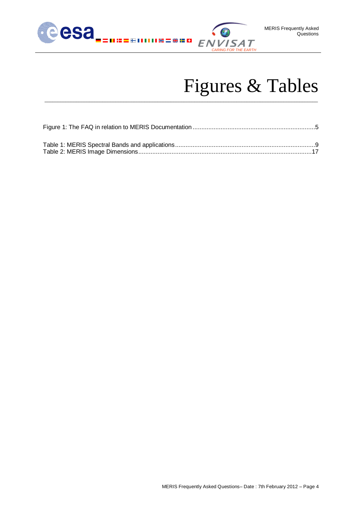

# Figures & Tables

\_\_\_\_\_\_\_\_\_\_\_\_\_\_\_\_\_\_\_\_\_\_\_\_\_\_\_\_\_\_\_\_\_\_\_\_\_\_\_\_\_\_\_\_\_\_\_\_\_\_\_\_\_\_\_\_\_\_\_\_\_\_\_\_\_\_\_\_\_\_\_\_\_\_\_\_\_\_\_\_\_\_\_\_\_\_\_\_\_\_\_\_\_\_\_\_\_\_\_\_\_\_\_\_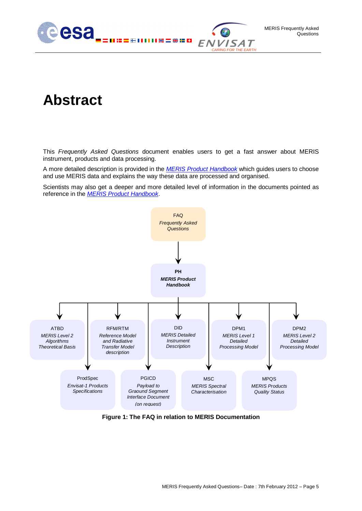

## **Abstract**

This *Frequently Asked Questions* document enables users to get a fast answer about MERIS instrument, products and data processing.

A more detailed description is provided in the *[MERIS Product Handbook](http://envisat.esa.int/handbooks/meris/)* which guides users to choose and use MERIS data and explains the way these data are processed and organised.

Scientists may also get a deeper and more detailed level of information in the documents pointed as reference in the *[MERIS Product Handbook](http://envisat.esa.int/handbooks/meris/)*.



<span id="page-4-0"></span>**Figure 1: The FAQ in relation to MERIS Documentation**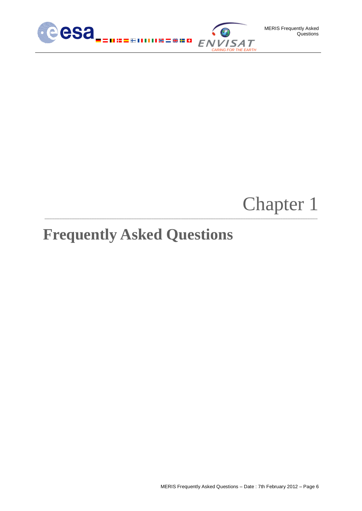

# Chapter 1

# <span id="page-5-0"></span>**Frequently Asked Questions**

**\_\_\_\_\_\_\_\_\_\_\_\_\_\_\_\_\_\_\_\_\_\_\_\_\_\_\_\_\_\_\_\_\_\_\_\_\_\_\_\_\_\_\_\_\_\_\_\_\_\_\_\_\_\_\_\_\_\_\_\_\_\_\_\_\_\_\_\_\_\_\_\_\_\_\_\_\_\_\_\_\_\_\_\_\_\_\_\_\_\_\_\_\_\_\_\_\_\_\_\_\_\_\_\_\_\_\_\_\_\_**

MERIS Frequently Asked Questions – Date : 7th February 2012 – Page 6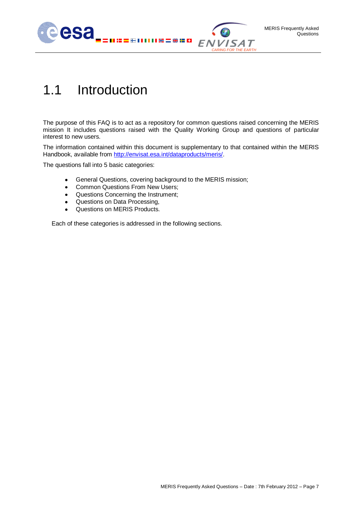

## <span id="page-6-0"></span>1.1 Introduction

The purpose of this FAQ is to act as a repository for common questions raised concerning the MERIS mission It includes questions raised with the Quality Working Group and questions of particular interest to new users.

The information contained within this document is supplementary to that contained within the MERIS Handbook, available from [http://envisat.esa.int/dataproducts/meris/.](http://envisat.esa.int/dataproducts/meris/)

The questions fall into 5 basic categories:

- General Questions, covering background to the MERIS mission;  $\bullet$
- $\bullet$ Common Questions From New Users;
- Questions Concerning the Instrument;
- Questions on Data Processing,  $\bullet$
- Questions on MERIS Products.  $\bullet$

Each of these categories is addressed in the following sections.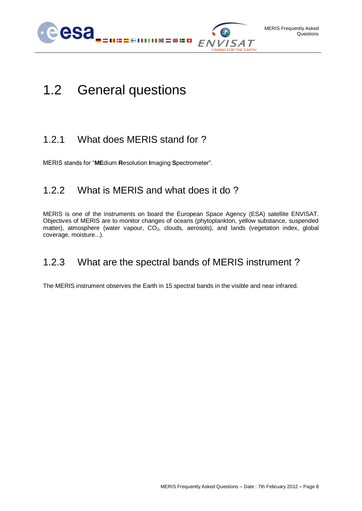

## <span id="page-7-0"></span>1.2 General questions

### <span id="page-7-1"></span>1.2.1 What does MERIS stand for ?

<span id="page-7-2"></span>MERIS stands for "**ME**dium **R**esolution **I**maging **S**pectrometer".

### 1.2.2 What is MERIS and what does it do ?

MERIS is one of the instruments on board the European Space Agency (ESA) satellite ENVISAT. Objectives of MERIS are to monitor changes of oceans (phytoplankton, yellow substance, suspended matter), atmosphere (water vapour,  $CO<sub>2</sub>$ , clouds, aerosols), and lands (vegetation index, global coverage, moisture...).

### <span id="page-7-3"></span>1.2.3 What are the spectral bands of MERIS instrument ?

The MERIS instrument observes the Earth in 15 spectral bands in the visible and near infrared.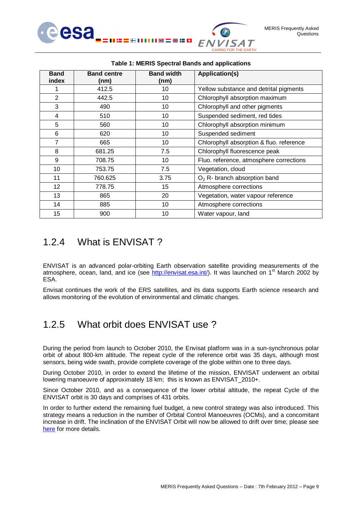

<span id="page-8-2"></span>

| <b>Band</b><br>index | <b>Band centre</b><br>(nm) | <b>Band width</b><br>(nm) | <b>Application(s)</b>                    |
|----------------------|----------------------------|---------------------------|------------------------------------------|
| 1                    | 412.5                      | 10                        | Yellow substance and detrital pigments   |
| 2                    | 442.5                      | 10                        | Chlorophyll absorption maximum           |
| 3                    | 490                        | 10                        | Chlorophyll and other pigments           |
| 4                    | 510                        | 10                        | Suspended sediment, red tides            |
| 5                    | 560                        | 10                        | Chlorophyll absorption minimum           |
| 6                    | 620                        | 10                        | Suspended sediment                       |
| 7                    | 665                        | 10                        | Chlorophyll absorption & fluo. reference |
| 8                    | 681.25                     | 7.5                       | Chlorophyll fluorescence peak            |
| 9                    | 708.75                     | 10                        | Fluo. reference, atmosphere corrections  |
| 10                   | 753.75                     | 7.5                       | Vegetation, cloud                        |
| 11                   | 760.625                    | 3.75                      | $O2$ R- branch absorption band           |
| 12                   | 778.75                     | 15                        | Atmosphere corrections                   |
| 13                   | 865                        | 20                        | Vegetation, water vapour reference       |
| 14                   | 885                        | 10                        | Atmosphere corrections                   |
| 15                   | 900                        | 10                        | Water vapour, land                       |

#### **Table 1: MERIS Spectral Bands and applications**

### <span id="page-8-0"></span>1.2.4 What is ENVISAT ?

ENVISAT is an advanced polar-orbiting Earth observation satellite providing measurements of the atmosphere, ocean, land, and ice (see [http://envisat.esa.int/\)](http://envisat.esa.int/). It was launched on  $1<sup>st</sup>$  March 2002 by ESA.

<span id="page-8-1"></span>Envisat continues the work of the ERS satellites, and its data supports Earth science research and allows monitoring of the evolution of environmental and climatic changes.

### 1.2.5 What orbit does ENVISAT use ?

During the period from launch to October 2010, the Envisat platform was in a sun-synchronous polar orbit of about 800-km altitude. The repeat cycle of the reference orbit was 35 days, although most sensors, being wide swath, provide complete coverage of the globe within one to three days.

During October 2010, in order to extend the lifetime of the mission, ENVISAT underwent an orbital lowering manoeuvre of approximately 18 km; this is known as ENVISAT\_2010+.

Since October 2010, and as a consequence of the lower orbital altitude, the repeat Cycle of the ENVISAT orbit is 30 days and comprises of 431 orbits.

In order to further extend the remaining fuel budget, a new control strategy was also introduced. This strategy means a reduction in the number of Orbital Control Manoeuvres (OCMs), and a concomitant increase in drift. The inclination of the ENVISAT Orbit will now be allowed to drift over time; please see <here> for more details.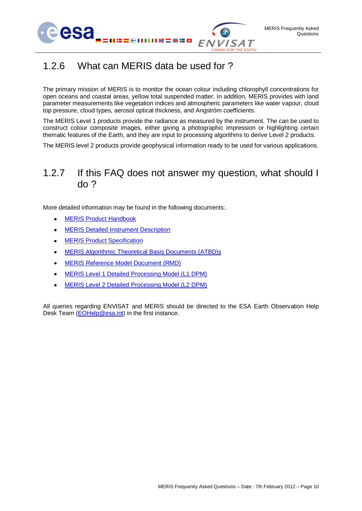



### <span id="page-9-0"></span>1.2.6 What can MERIS data be used for ?

The primary mission of MERIS is to monitor the ocean colour including chlorophyll concentrations for open oceans and coastal areas, yellow total suspended matter. In addition, MERIS provides with land parameter measurements like vegetation indices and atmospheric parameters like water vapour, cloud top pressure, cloud types, aerosol optical thickness, and Angström coefficients.

The MERIS Level 1 products provide the radiance as measured by the instrument. The can be used to construct colour composite images, either giving a photographic impression or highlighting certain thematic features of the Earth, and they are input to processing algorithms to derive Level 2 products.

<span id="page-9-1"></span>The MERIS level 2 products provide geophysical information ready to be used for various applications.

### 1.2.7 If this FAQ does not answer my question, what should I do ?

More detailed information may be found in the following documents:.

- [MERIS Product Handbook](http://envisat.esa.int/handbooks/meris/)  $\bullet$
- [MERIS Detailed Instrument Description](http://earth.esa.int/pub/ESA_DOC/ENVISAT/MERIS/VT-P017-DOC-004-E-01-00_meris.DetailedInstrumentDescription.1_0.pdf)  $\bullet$
- **[MERIS Product Specification](http://envisat.esa.int/support-docs/productspecs/index.htm)**  $\bullet$
- [MERIS Algorithmic Theoretical Basis Documents \(ATBD\)s](http://envisat.esa.int/instruments/meris/atbd/)
- MERIS [Reference Model Document \(RMD\)](http://envisat.esa.int/instruments/meris/rfm/rmd_third_reprocessing_ocean.pdf)  $\bullet$
- [MERIS Level 1 Detailed Processing Model \(L1 DPM\)](http://earth.eo.esa.int/pcs/envisat/meris/documentation/meris_3rd_reproc/Meris_DPM_L1b_i8r0.pdf)
- [MERIS Level 2 Detailed Processing Model \(L2 DPM\)](http://earth.eo.esa.int/pcs/envisat/meris/documentation/meris_3rd_reproc/MERIS-DPM-L2-i8r0B.pdf)  $\bullet$

All queries regarding ENVISAT and MERIS should be directed to the ESA Earth Observation Help Desk Team [\(EOHelp@esa.int\)](mailto:EOHelp@esa.int) in the first instance.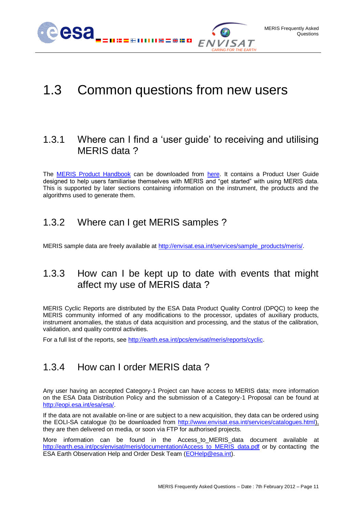

### <span id="page-10-0"></span>1.3 Common questions from new users

#### <span id="page-10-1"></span>1.3.1 Where can I find a 'user guide' to receiving and utilising MERIS data?

The [MERIS Product Handbook](http://envisat.esa.int/handbooks/meris/) can be downloaded from [here.](http://envisat.esa.int/pub/ESA_DOC/ENVISAT/MERIS/meris.ProductHandbook.2_1.pdf) It contains a Product User Guide designed to help users familiarise themselves with MERIS and "get started" with using MERIS data. This is supported by later sections containing information on the instrument, the products and the algorithms used to generate them.

### <span id="page-10-2"></span>1.3.2 Where can I get MERIS samples ?

<span id="page-10-3"></span>MERIS sample data are freely available at [http://envisat.esa.int/services/sample\\_products/meris/.](http://envisat.esa.int/services/sample_products/meris/)

### 1.3.3 How can I be kept up to date with events that might affect my use of MERIS data ?

MERIS Cyclic Reports are distributed by the ESA Data Product Quality Control (DPQC) to keep the MERIS community informed of any modifications to the processor, updates of auxiliary products, instrument anomalies, the status of data acquisition and processing, and the status of the calibration, validation, and quality control activities.

<span id="page-10-4"></span>For a full list of the reports, see [http://earth.esa.int/pcs/envisat/meris/reports/cyclic.](http://earth.esa.int/pcs/envisat/meris/reports/cyclic)

### 1.3.4 How can I order MERIS data ?

Any user having an accepted Category-1 Project can have access to MERIS data; more information on the ESA Data Distribution Policy and the submission of a Category-1 Proposal can be found at [http://eopi.esa.int/esa/esa/.](http://eopi.esa.int/esa/esa/)

If the data are not available on-line or are subject to a new acquisition, they data can be ordered using the EOLI-SA catalogue (to be downloaded from [http://www.envisat.esa.int/services/catalogues.html\)](http://www.envisat.esa.int/services/catalogues.html), they are then delivered on media, or soon via FTP for authorised projects.

More information can be found in the Access\_to\_MERIS\_data document available at [http://earth.esa.int/pcs/envisat/meris/documentation/Access\\_to\\_MERIS\\_data.pdf](http://earth.esa.int/pcs/envisat/meris/documentation/Access_to_MERIS_data.pdf) or by contacting the ESA Earth Observation Help and Order Desk Team (**EOHelp@esa.int**).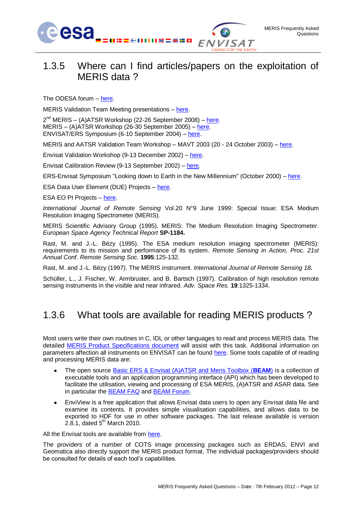

<span id="page-11-0"></span>The ODESA forum – [here.](http://www.odesa-info.eu/forum/)

MERIS Validation Team Meeting presentations – [here.](http://earth.eo.esa.int/pcs/envisat/meris/documentation/MERISValidationTeam/2011/Lisbon)

2<sup>nd</sup> MERIS – (A)ATSR Workshop (22-26 September 2008) – [here.](http://earth.esa.int/meris_aatsr_2008/) MERIS – (A)ATSR Workshop (26-30 September 2005) – [here.](http://envisat.esa.int/workshops/meris_aatsr2005/) ENVISAT/ERS Symposium (6-10 September 2004) – [here.](http://earth.esa.int/salzburg04/)

MERIS and AATSR Validation Team Workshop – MAVT 2003 (20 - 24 October 2003) – [here.](http://envisat.esa.int/workshops/mavt_2003/)

Envisat Validation Workshop (9-13 December 2002) – [here.](http://envisat.esa.int/pub/ESA_DOC/envisat_val_1202/proceedings/)

Envisat Calibration Review (9-13 September 2002) – [here.](http://envisat.esa.int/calval/proceedings/)

ERS-Envisat Symposium "Looking down to Earth in the New Millennium" (October 2000) – [here.](http://earth.esa.int/pub/ESA_DOC/gothenburg/start.pdf)

ESA Data User Element (DUE) Projects – [here.](http://dup.esrin.esa.it/index.asp)

ESA EO PI Projects – [here.](http://eopi.esa.int/esa/esa)

*International Journal of Remote Sensing* Vol.20 N°9 June 1999: Special Issue: ESA Medium Resolution Imaging Spectrometer (MERIS).

MERIS Scientific Advisory Group (1995). MERIS: The Medium Resolution Imaging Spectrometer. *European Space Agency Technical Report* **SP-1184.**

Rast, M. and J.-L. Bézy (1995). The ESA medium resolution imaging spectrometer (MERIS): requirements to its mission and performance of its system. *Remote Sensing in Action, Proc. 21st Annual Conf. Remote Sensing Soc.* **1995**:125-132.

Rast, M. and J.-L. Bézy (1997). The MERIS instrument. *International Journal of Remote Sensing 18***.**

<span id="page-11-1"></span>Schüller, L., J. Fischer, W. Armbruster, and B. Bartsch (1997). Calibration of high resolution remote sensing instruments in the visible and near infrared. *Adv. Space Res.* **19**:1325-1334.

### 1.3.6 What tools are available for reading MERIS products ?

Most users write their own routines in C, IDL or other languages to read and process MERIS data. The detailed [MERIS Product Specifications document](http://earth.eo.esa.int/pcs/envisat/meris/documentation/meris_3rd_reproc/Vol11_Meris_6a.pdf) will assist with this task. Additional information on parameters affection all instruments on ENVISAT can be found [here.](http://envisat.esa.int/support-docs/productspecs/index.htm) Some tools capable of of reading and processing MERIS data are:

- The open source [Basic ERS & Envisat \(A\)ATSR and Meris Toolbox \(](http://www.brockmann-consult.de/cms/web/beam/)**BEAM**) is a collection of  $\bullet$ executable tools and an application programming interface (API) which has been developed to facilitate the utilisation, viewing and processing of ESA MERIS, (A)ATSR and ASAR data. See in particular the [BEAM FAQ](http://www.brockmann-consult.de/beam-wiki/display/BEAM/FAQ) and [BEAM Forum.](http://www.brockmann-consult.de/cms/web/beam/forum)
- EnviView is a free application that allows Envisat data users to open any Envisat data file and examine its contents. It provides simple visualisation capabilities, and allows data to be exported to HDF for use in other software packages. The last release available is version 2.8.1, dated  $5<sup>th</sup>$  March 2010.

All the Envisat tools are available from [here.](http://earth.esa.int/envisat/services/_envisat_tools_table.html)

The providers of a number of COTS image processing packages such as ERDAS, ENVI and Geomatica also directly support the MERIS product format. The individual packages/providers should be consulted for details of each tool's capabilities.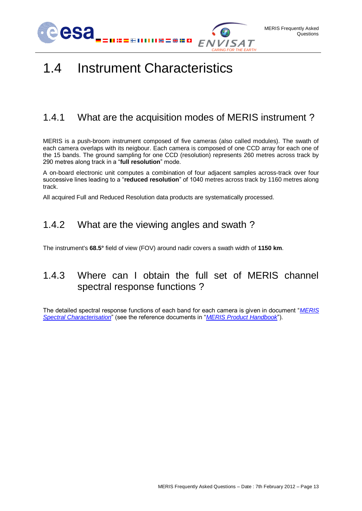



### <span id="page-12-0"></span>1.4 Instrument Characteristics

### <span id="page-12-1"></span>1.4.1 What are the acquisition modes of MERIS instrument ?

MERIS is a push-broom instrument composed of five cameras (also called modules). The swath of each camera overlaps with its neigbour. Each camera is composed of one CCD array for each one of the 15 bands. The ground sampling for one CCD (resolution) represents 260 metres across track by 290 metres along track in a "**full resolution**" mode.

A on-board electronic unit computes a combination of four adjacent samples across-track over four successive lines leading to a "**reduced resolution**" of 1040 metres across track by 1160 metres along track.

<span id="page-12-2"></span>All acquired Full and Reduced Resolution data products are systematically processed.

### 1.4.2 What are the viewing angles and swath ?

<span id="page-12-3"></span>The instrument's **68.5°** field of view (FOV) around nadir covers a swath width of **1150 km**.

### 1.4.3 Where can I obtain the full set of MERIS channel spectral response functions ?

The detailed spectral response functions of each band for each camera is given in document "*[MERIS](http://earth.esa.int/pub/ESA_DOC/MERIS_Wavelengths_and_Irradiances_Model2004.xls)  [Spectral Characterisation](http://earth.esa.int/pub/ESA_DOC/MERIS_Wavelengths_and_Irradiances_Model2004.xls)*" (see the reference documents in "*[MERIS Product Handbook](http://envisat.esa.int/handbooks/meris/)*").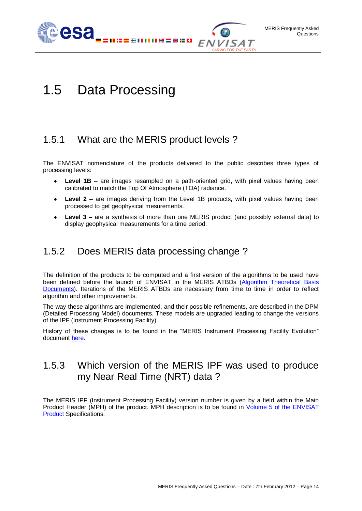

## <span id="page-13-0"></span>1.5 Data Processing

### <span id="page-13-1"></span>1.5.1 What are the MERIS product levels ?

The ENVISAT nomenclature of the products delivered to the public describes three types of processing levels:

- $\bullet$ **Level 1B** – are images resampled on a path-oriented grid, with pixel values having been calibrated to match the Top Of Atmosphere (TOA) radiance.
- **Level 2** are images deriving from the Level 1B products, with pixel values having been processed to get geophysical mesurements.
- **Level 3** are a synthesis of more than one MERIS product (and possibly external data) to  $\bullet$ display geophysical measurements for a time period.

### <span id="page-13-2"></span>1.5.2 Does MERIS data processing change ?

The definition of the products to be computed and a first version of the algorithms to be used have been defined before the launch of ENVISAT in the MERIS ATBDs (Algorithm Theoretical Basis [Documents\)](http://envisat.esa.int/instruments/meris/atbd/). Iterations of the MERIS ATBDs are necessary from time to time in order to reflect algorithm and other improvements.

The way these algorithms are implemented, and their possible refinements, are described in the DPM (Detailed Processing Model) documents. These models are upgraded leading to change the versions of the IPF (Instrument Processing Facility).

<span id="page-13-3"></span>History of these changes is to be found in the "MERIS Instrument Processing Facility Evolution" document [here.](http://earth.esa.int/pcs/envisat/meris/documentation/MERIS_IPF_evolution.pdf)

### 1.5.3 Which version of the MERIS IPF was used to produce my Near Real Time (NRT) data ?

The MERIS IPF (Instrument Processing Facility) version number is given by a field within the Main Product Header (MPH) of the product. MPH description is to be found in Volume 5 of the ENVISAT [Product](http://earth.esa.int/pub/ESA_DOC/ENVISAT/Vol05_Structures_3d_20071122.pdf) Specifications.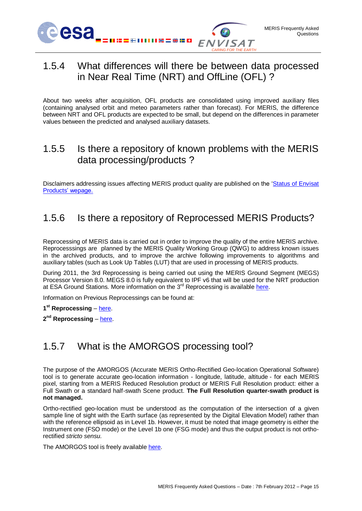

### <span id="page-14-0"></span>1.5.4 What differences will there be between data processed in Near Real Time (NRT) and OffLine (OFL) ?

About two weeks after acquisition, OFL products are consolidated using improved auxiliary files (containing analysed orbit and meteo parameters rather than forecast). For MERIS, the difference between NRT and OFL products are expected to be small, but depend on the differences in parameter values between the predicted and analysed auxiliary datasets.

#### <span id="page-14-1"></span>1.5.5 Is there a repository of known problems with the MERIS data processing/products ?

<span id="page-14-2"></span>Disclaimers addressing issues affecting MERIS product quality are published on the ['Status of Envisat](Status%20of%20Envisat%20Products)  [Products' wepage.](Status%20of%20Envisat%20Products)

### 1.5.6 Is there a repository of Reprocessed MERIS Products?

Reprocessing of MERIS data is carried out in order to improve the quality of the entire MERIS archive. Reprocesssings are planned by the MERIS Quality Working Group (QWG) to address known issues in the archived products, and to improve the archive following improvements to algorithms and auxiliary tables (such as Look Up Tables (LUT) that are used in processing of MERIS products.

During 2011, the 3rd Reprocessing is being carried out using the MERIS Ground Segment (MEGS) Processor Version 8.0. MEGS 8.0 is fully equivalent to IPF v6 that will be used for the NRT production at ESA Ground Stations. More information on the  $3<sup>rd</sup>$  Reprocessing is available [here.](http://envisat.esa.int/earth/www/object/index.cfm?fobjectid=7741)

Information on Previous Reprocessings can be found at:

**1 st Reprocessing** – [here.](http://earth.eo.esa.int/pcs/envisat/meris/documentation/First_2003_MERIS_Reprocessing.pdf)

<span id="page-14-3"></span>**2 nd Reprocessing** – [here.](http://earth.eo.esa.int/pcs/envisat/meris/documentation/MERISRRsecondreprocessing-V2.pdf)

### 1.5.7 What is the AMORGOS processing tool?

The purpose of the AMORGOS (Accurate MERIS Ortho-Rectified Geo-location Operational Software) tool is to generate accurate geo-location information - longitude, latitude, altitude - for each MERIS pixel, starting from a MERIS Reduced Resolution product or MERIS Full Resolution product: either a Full Swath or a standard half-swath Scene product. **The Full Resolution quarter-swath product is not managed.**

Ortho-rectified geo-location must be understood as the computation of the intersection of a given sample line of sight with the Earth surface (as represented by the Digital Elevation Model) rather than with the reference ellipsoid as in Level 1b. However, it must be noted that image geometry is either the Instrument one (FSO mode) or the Level 1b one (FSG mode) and thus the output product is not orthorectified *stricto sensu.*

The AMORGOS tool is freely available [here.](https://earth.esa.int/web/guest/content?p_r_p_564233524_assetIdentifier=amorgos-40p1-4410)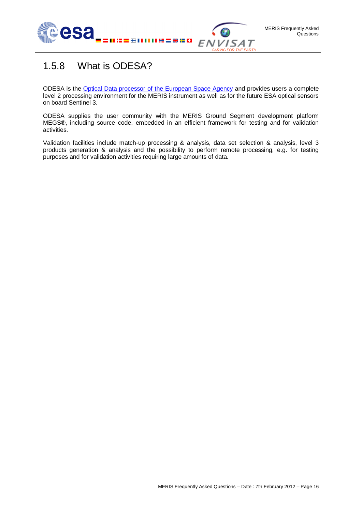

### <span id="page-15-0"></span>1.5.8 What is ODESA?

ODESA is the **Optical Data processor of the European Space Agency** and provides users a complete level 2 processing environment for the MERIS instrument as well as for the future ESA optical sensors on board Sentinel 3.

ODESA supplies the user community with the MERIS Ground Segment development platform MEGS®, including source code, embedded in an efficient framework for testing and for validation activities.

Validation facilities include match-up processing & analysis, data set selection & analysis, level 3 products generation & analysis and the possibility to perform remote processing, e.g. for testing purposes and for validation activities requiring large amounts of data.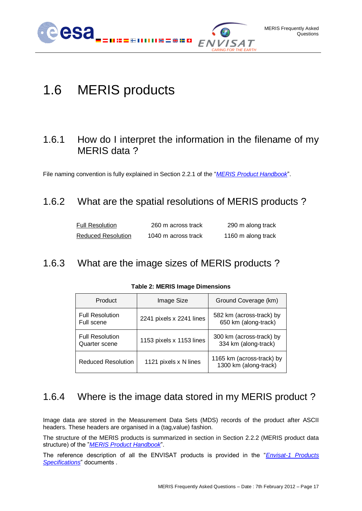

# <span id="page-16-0"></span>1.6 MERIS products

### <span id="page-16-1"></span>1.6.1 How do I interpret the information in the filename of my MERIS data?

<span id="page-16-2"></span>File naming convention is fully explained in Section 2.2.1 of the "*[MERIS Product Handbook](http://envisat.esa.int/pub/ESA_DOC/ENVISAT/MERIS/meris.ProductHandbook.2_1.pdf)*".

### 1.6.2 What are the spatial resolutions of MERIS products ?

| <b>Full Resolution</b>    | 260 m across track  | 290 m along track  |
|---------------------------|---------------------|--------------------|
| <b>Reduced Resolution</b> | 1040 m across track | 1160 m along track |

#### <span id="page-16-5"></span><span id="page-16-3"></span>1.6.3 What are the image sizes of MERIS products ?

| Product                                 | Image Size               | Ground Coverage (km)                               |
|-----------------------------------------|--------------------------|----------------------------------------------------|
| <b>Full Resolution</b><br>Full scene    | 2241 pixels x 2241 lines | 582 km (across-track) by<br>650 km (along-track)   |
| <b>Full Resolution</b><br>Quarter scene | 1153 pixels x 1153 lines | 300 km (across-track) by<br>334 km (along-track)   |
| <b>Reduced Resolution</b>               | 1121 pixels x N lines    | 1165 km (across-track) by<br>1300 km (along-track) |

#### **Table 2: MERIS Image Dimensions**

### <span id="page-16-4"></span>1.6.4 Where is the image data stored in my MERIS product ?

Image data are stored in the Measurement Data Sets (MDS) records of the product after ASCII headers. These headers are organised in a (tag,value) fashion.

The structure of the MERIS products is summarized in section in Section 2.2.2 (MERIS product data structure) of the "*[MERIS Product Handbook](http://envisat.esa.int/pub/ESA_DOC/ENVISAT/MERIS/meris.ProductHandbook.2_1.pdf)*".

The reference description of all the ENVISAT products is provided in the "*[Envisat-1 Products](http://envisat.esa.int/support-docs/productspecs/index.htm)  [Specifications](http://envisat.esa.int/support-docs/productspecs/index.htm)*" documents .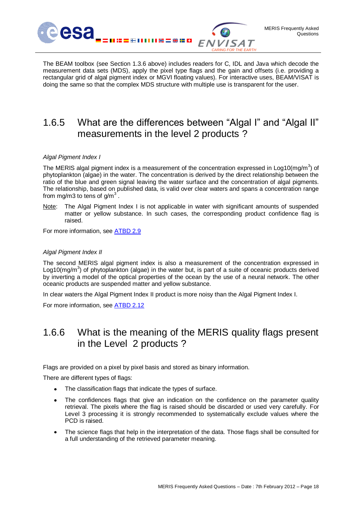

The BEAM toolbox (see Section [1.3.6](#page-11-1) above) includes readers for C, IDL and Java which decode the measurement data sets (MDS), apply the pixel type flags and the gain and offsets (i.e. providing a rectangular grid of algal pigment index or MGVI floating values). For interactive uses, BEAM/VISAT is doing the same so that the complex MDS structure with multiple use is transparent for the user.

### <span id="page-17-0"></span>1.6.5 What are the differences between "Algal I" and "Algal II" measurements in the level 2 products ?

#### *Algal Pigment Index I*

The MERIS algal pigment index is a measurement of the concentration expressed in Log10(mg/m<sup>3</sup>) of phytoplankton (algae) in the water. The concentration is derived by the direct relationship between the ratio of the blue and green signal leaving the water surface and the concentration of algal pigments. The relationship, based on published data, is valid over clear waters and spans a concentration range from mg/m3 to tens of g/m<sup>3</sup>.

Note: The Algal Pigment Index I is not applicable in water with significant amounts of suspended matter or yellow substance. In such cases, the corresponding product confidence flag is raised.

For more information, see [ATBD 2.9](http://envisat.esa.int/instruments/meris/atbd/atbd_2.9.pdf)

#### *Algal Pigment Index II*

The second MERIS algal pigment index is also a measurement of the concentration expressed in Log10(mg/m<sup>3</sup>) of phytoplankton (algae) in the water but, is part of a suite of oceanic products derived by inverting a model of the optical properties of the ocean by the use of a neural network. The other oceanic products are suspended matter and yellow substance.

In clear waters the Algal Pigment Index II product is more noisy than the Algal Pigment Index I.

<span id="page-17-1"></span>For more information, see [ATBD 2.12](http://envisat.esa.int/instruments/meris/pdf/atbd_2_12.pdf)

### 1.6.6 What is the meaning of the MERIS quality flags present in the Level 2 products ?

Flags are provided on a pixel by pixel basis and stored as binary information.

There are different types of flags:

- The classification flags that indicate the types of surface.
- The confidences flags that give an indication on the confidence on the parameter quality retrieval. The pixels where the flag is raised should be discarded or used very carefully. For Level 3 processing it is strongly recommended to systematically exclude values where the PCD is raised.
- The science flags that help in the interpretation of the data. Those flags shall be consulted for a full understanding of the retrieved parameter meaning.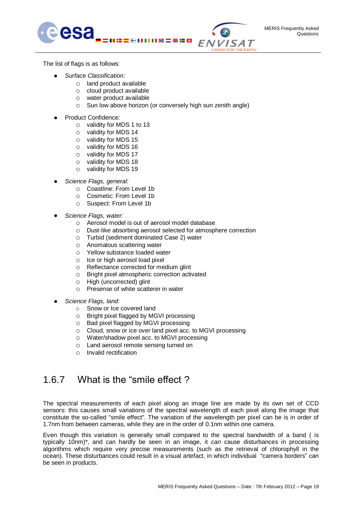

The list of flags is as follows:

- *Surface Classification:* 
	- o land product available
	- o cloud product available
	- o water product available
	- o Sun low above horizon (or conversely high sun zenith angle)
- Product Confidence:
	- o validity for MDS 1 to 13
	- o validity for MDS 14
	- o validity for MDS 15
	- o validity for MDS 16
	- o validity for MDS 17
	- o validity for MDS 18
	- o validity for MDS 19
- *Science Flags, general:* 
	- o Coastline: From Level 1b
	- o Cosmetic: From Level 1b
	- o Suspect: From Level 1b
- *Science Flags, water:* 
	- o Aerosol model is out of aerosol model database
	- o Dust-like absorbing aerosol selected for atmosphere correction
	- o Turbid (sediment dominated Case 2) water
	- o Anomalous scattering water
	- o Yellow substance loaded water
	- o Ice or high aerosol load pixel
	- o Reflectance corrected for medium glint
	- o Bright pixel atmospheric correction activated
	- o High (uncorrected) glint
	- o Presense of white scatterer in water
- *Science Flags, land:* 
	- o Snow or Ice covered land
	- o Bright pixel flagged by MGVI processing
	- o Bad pixel flagged by MGVI processing
	- o Cloud, snow or ice over land pixel acc. to MGVI processing
	- o Water/shadow pixel acc. to MGVI processing
	- o Land aerosol remote sensing turned on
	- o Invalid rectification

### <span id="page-18-0"></span>1.6.7 What is the "smile effect ?

The spectral measurements of each pixel along an image line are made by its own set of CCD sensors: this causes small variations of the spectral wavelength of each pixel along the image that constitute the so-called "smile effect". The variation of the wavelength per pixel can be is in order of 1.7nm from between cameras, while they are in the order of 0.1nm within one camera.

Even though this variation is generally small compared to the spectral bandwidth of a band ( is typically 10nm)\*, and can hardly be seen in an image, it *can* cause disturbances in processing algorithms which require very precise measurements (such as the retrieval of chlorophyll in the ocean). These disturbances could result in a visual artefact, in which individual "camera borders" can be seen in products.